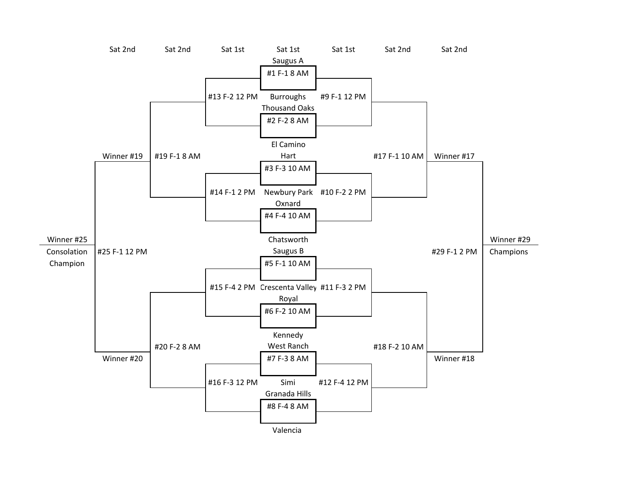